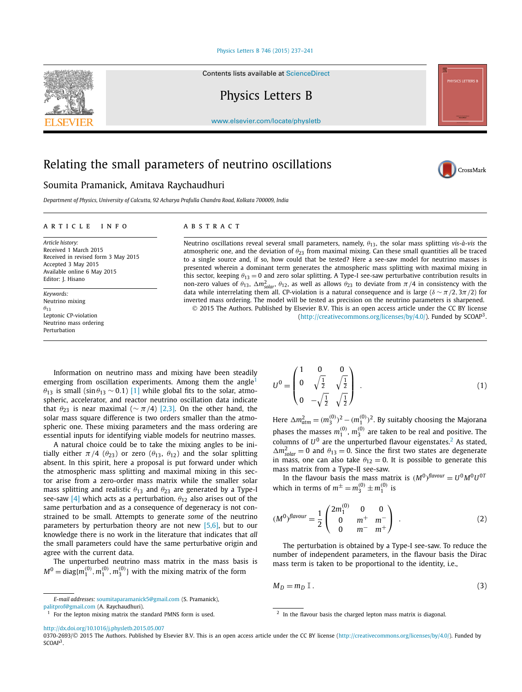#### [Physics Letters B 746 \(2015\) 237–241](http://dx.doi.org/10.1016/j.physletb.2015.05.007)

Contents lists available at [ScienceDirect](http://www.ScienceDirect.com/)

Physics Letters B

[www.elsevier.com/locate/physletb](http://www.elsevier.com/locate/physletb)

# Relating the small parameters of neutrino oscillations

## Soumita Pramanick, Amitava Raychaudhuri

*Department of Physics, University of Calcutta, 92 Acharya Prafulla Chandra Road, Kolkata 700009, India*

### A R T I C L E I N F O A B S T R A C T

*Article history:* Received 1 March 2015 Received in revised form 3 May 2015 Accepted 3 May 2015 Available online 6 May 2015 Editor: J. Hisano

*Keywords:* Neutrino mixing *θ*<sup>13</sup> Leptonic CP-violation Neutrino mass ordering Perturbation

Neutrino oscillations reveal several small parameters, namely, *θ*13, the solar mass splitting *vis-à-vis* the atmospheric one, and the deviation of *θ*<sup>23</sup> from maximal mixing. Can these small quantities all be traced to a single source and, if so, how could that be tested? Here a see-saw model for neutrino masses is presented wherein a dominant term generates the atmospheric mass splitting with maximal mixing in this sector, keeping  $\theta_{13} = 0$  and zero solar splitting. A Type-I see-saw perturbative contribution results in non-zero values of  $θ_{13}$ ,  $Δm<sub>solar</sub><sup>2</sup>$ ,  $θ_{12}$ , as well as allows  $θ_{23}$  to deviate from  $π/4$  in consistency with the data while interrelating them all. CP-violation is a natural consequence and is large (*δ* ∼ *π/*2*,* 3*π/*2) for inverted mass ordering. The model will be tested as precision on the neutrino parameters is sharpened. © 2015 The Authors. Published by Elsevier B.V. This is an open access article under the CC BY license

[\(http://creativecommons.org/licenses/by/4.0/\)](http://creativecommons.org/licenses/by/4.0/). Funded by  $SCOAP<sup>3</sup>$ .

CrossMark

Information on neutrino mass and mixing have been steadily emerging from oscillation experiments. Among them the angle<sup>1</sup>  $\theta_{13}$  is small (sin $\theta_{13} \sim 0.1$ ) [\[1\]](#page-3-0) while global fits to the solar, atmospheric, accelerator, and reactor neutrino oscillation data indicate that  $\theta_{23}$  is near maximal ( $\sim \pi/4$ ) [\[2,3\].](#page-4-0) On the other hand, the solar mass square difference is two orders smaller than the atmospheric one. These mixing parameters and the mass ordering are essential inputs for identifying viable models for neutrino masses.

A natural choice could be to take the mixing angles to be initially either  $\pi/4$  ( $\theta_{23}$ ) or zero ( $\theta_{13}$ ,  $\theta_{12}$ ) and the solar splitting absent. In this spirit, here a proposal is put forward under which the atmospheric mass splitting and maximal mixing in this sector arise from a zero-order mass matrix while the smaller solar mass splitting and realistic  $\theta_{13}$  and  $\theta_{23}$  are generated by a Type-I see-saw [\[4\]](#page-4-0) which acts as a perturbation.  $\theta_{12}$  also arises out of the same perturbation and as a consequence of degeneracy is not constrained to be small. Attempts to generate *some* of the neutrino parameters by perturbation theory are not new  $[5,6]$ , but to our knowledge there is no work in the literature that indicates that *all* the small parameters could have the same perturbative origin and agree with the current data.

The unperturbed neutrino mass matrix in the mass basis is  $M^0 = \text{diag}\{m_1^{(0)},m_1^{(0)},m_3^{(0)}\}$  with the mixing matrix of the form

$$
U^{0} = \begin{pmatrix} 1 & 0 & 0 \\ 0 & \sqrt{\frac{1}{2}} & \sqrt{\frac{1}{2}} \\ 0 & -\sqrt{\frac{1}{2}} & \sqrt{\frac{1}{2}} \end{pmatrix} .
$$
 (1)

Here  $\Delta m_{atm}^2 = (m_3^{(0)})^2 - (m_1^{(0)})^2$ . By suitably choosing the Majorana phases the masses  $m_1^{(0)}$ ,  $m_3^{(0)}$  are taken to be real and positive. The columns of  $U^0$  are the unperturbed flavour eigenstates.<sup>2</sup> As stated,  $\Delta m_{solar}^2 = 0$  and  $\theta_{13} = 0$ . Since the first two states are degenerate in mass, one can also take  $\theta_{12} = 0$ . It is possible to generate this mass matrix from a Type-II see-saw.

In the flavour basis the mass matrix is  $(M^0)^{\text{flavour}} = U^0 M^0 U^{07}$ which in terms of  $m^{\pm} = m_3^{(0)} \pm m_1^{(0)}$  is

$$
(M^0)^{\text{flavour}} = \frac{1}{2} \begin{pmatrix} 2m_1^{(0)} & 0 & 0 \\ 0 & m^+ & m^- \\ 0 & m^- & m^+ \end{pmatrix} . \tag{2}
$$

The perturbation is obtained by a Type-I see-saw. To reduce the number of independent parameters, in the flavour basis the Dirac mass term is taken to be proportional to the identity, i.e.,

 $M_D = m_D \mathbb{I}$ . (3)

<http://dx.doi.org/10.1016/j.physletb.2015.05.007>



*E-mail addresses:* [soumitaparamanick5@gmail.com](mailto:soumitaparamanick5@gmail.com) (S. Pramanick), [palitprof@gmail.com](mailto:palitprof@gmail.com) (A. Raychaudhuri).

 $1$  For the lepton mixing matrix the standard PMNS form is used.

<sup>2</sup> In the flavour basis the charged lepton mass matrix is diagonal.

<sup>0370-2693/© 2015</sup> The Authors. Published by Elsevier B.V. This is an open access article under the CC BY license [\(http://creativecommons.org/licenses/by/4.0/\)](http://creativecommons.org/licenses/by/4.0/). Funded by SCOAP<sup>3</sup>.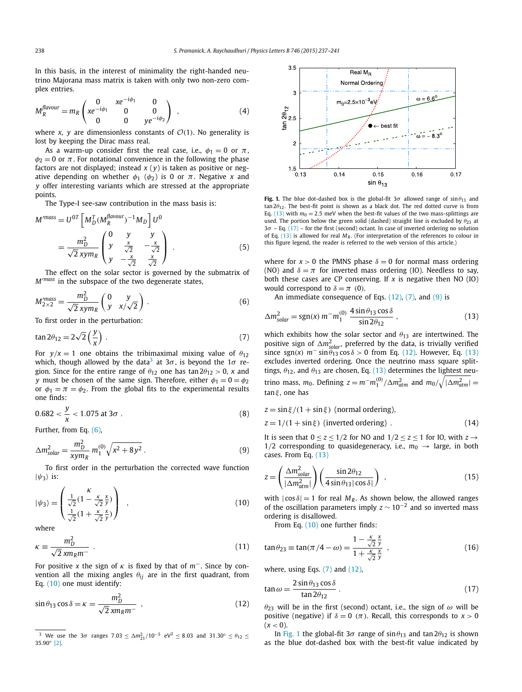<span id="page-1-0"></span>In this basis, in the interest of minimality the right-handed neutrino Majorana mass matrix is taken with only two non-zero complex entries.

$$
M_R^{\text{flavour}} = m_R \begin{pmatrix} 0 & xe^{-i\phi_1} & 0 \\ xe^{-i\phi_1} & 0 & 0 \\ 0 & 0 & ye^{-i\phi_2} \end{pmatrix} \,, \tag{4}
$$

where *x*, *y* are dimensionless constants of  $\mathcal{O}(1)$ . No generality is lost by keeping the Dirac mass real.

As a warm-up consider first the real case, i.e.,  $\phi_1 = 0$  or  $\pi$ ,  $\phi_2 = 0$  or  $\pi$ . For notational convenience in the following the phase factors are not displayed; instead *x* (*y*) is taken as positive or negative depending on whether  $\phi_1$  ( $\phi_2$ ) is 0 or  $\pi$ . Negative *x* and *y* offer interesting variants which are stressed at the appropriate points.

The Type-I see-saw contribution in the mass basis is:

$$
M^{mass} = U^{0T} \left[ M_D^T (M_R^{flavour})^{-1} M_D \right] U^0
$$
  
= 
$$
\frac{m_D^2}{\sqrt{2} \, x y m_R} \begin{pmatrix} 0 & y & y \\ y & \frac{x}{\sqrt{2}} & -\frac{x}{\sqrt{2}} \\ y & -\frac{x}{\sqrt{2}} & \frac{x}{\sqrt{2}} \end{pmatrix} . \tag{5}
$$

The effect on the solar sector is governed by the submatrix of *Mmass* in the subspace of the two degenerate states,

$$
M_{2\times 2}^{\text{mass}} = \frac{m_D^2}{\sqrt{2} \, \text{sym}_R} \begin{pmatrix} 0 & y \\ y & x/\sqrt{2} \end{pmatrix} \,. \tag{6}
$$

To first order in the perturbation:

$$
\tan 2\theta_{12} = 2\sqrt{2}\left(\frac{y}{x}\right). \tag{7}
$$

For  $y/x = 1$  one obtains the tribimaximal mixing value of  $\theta_{12}$ which, though allowed by the data<sup>3</sup> at 3 $\sigma$ , is beyond the 1 $\sigma$  region. Since for the entire range of  $\theta_{12}$  one has tan  $2\theta_{12} > 0$ , *x* and *y* must be chosen of the same sign. Therefore, either  $\phi_1 = 0 = \phi_2$ or  $\phi_1 = \pi = \phi_2$ . From the global fits to the experimental results one finds:

$$
0.682 < \frac{y}{x} < 1.075 \text{ at } 3\sigma \tag{8}
$$

Further, from Eq. (6),

$$
\Delta m_{solar}^2 = \frac{m_D^2}{xym_R} m_1^{(0)} \sqrt{x^2 + 8y^2} \,. \tag{9}
$$

To first order in the perturbation the corrected wave function  $|\psi_3\rangle$  is:

$$
|\psi_3\rangle = \begin{pmatrix} \frac{K}{\sqrt{2}}(1 - \frac{K}{\sqrt{2}}\frac{x}{y}) \\ \frac{1}{\sqrt{2}}(1 + \frac{K}{\sqrt{2}}\frac{x}{y}) \end{pmatrix} ,
$$
 (10)

where

$$
\kappa \equiv \frac{m_D^2}{\sqrt{2} \, \text{km}_R m^-} \tag{11}
$$

For positive *x* the sign of *κ* is fixed by that of *m*−. Since by convention all the mixing angles  $\theta_{ij}$  are in the first quadrant, from Eq. (10) one must identify:

$$
\sin \theta_{13} \cos \delta = \kappa = \frac{m_D^2}{\sqrt{2} \, \text{km}_R m^-} \tag{12}
$$



**Fig. 1.** The blue dot-dashed box is the global-fit  $3\sigma$  allowed range of  $\sin\theta_{13}$  and  $\tan 2\theta_{12}$ . The best-fit point is shown as a black dot. The red dotted curve is from Eq. (13) with  $m_0 = 2.5$  meV when the best-fit values of the two mass-splittings are used. The portion below the green solid (dashed) straight line is excluded by  $θ_{23}$  at  $3\sigma$  – Eq. (17) – for the first (second) octant. In case of inverted ordering no solution of Eq.  $(13)$  is allowed for real  $M_R$ . (For interpretation of the references to colour in this figure legend, the reader is referred to the web version of this article.)

where for  $x > 0$  the PMNS phase  $\delta = 0$  for normal mass ordering (NO) and  $\delta = \pi$  for inverted mass ordering (IO). Needless to say, both these cases are CP conserving. If *x* is negative then NO (IO) would correspond to  $\delta = \pi$  (0).

An immediate consequence of Eqs.  $(12)$ ,  $(7)$ , and  $(9)$  is

$$
\Delta m_{solar}^2 = \text{sgn}(x) m^- m_1^{(0)} \frac{4 \sin \theta_{13} \cos \delta}{\sin 2\theta_{12}}, \qquad (13)
$$

which exhibits how the solar sector and *θ*<sup>13</sup> are intertwined. The positive sign of  $\Delta m_{\text{solar}}^2$ , preferred by the data, is trivially verified since sgn(*x*)  $m^{-}$  sin $\theta_{13}$  cos  $\delta > 0$  from Eq. (12). However, Eq. (13) excludes inverted ordering. Once the neutrino mass square splittings,  $\theta_{12}$ , and  $\theta_{13}$  are chosen, Eq. (13) determines the lightest neutrino mass,  $m_0$ . Defining  $z = m^- m_1^{(0)}/\Delta m_{atm}^2$  and  $m_0/\sqrt{|\Delta m_{atm}^2|} =$ tan *ξ* , one has

$$
z = \sin \xi / (1 + \sin \xi) \text{ (normal ordering)},
$$
  
\n
$$
z = 1/(1 + \sin \xi) \text{ (inverted ordering)}.
$$
\n(14)

It is seen that  $0 \le z \le 1/2$  for NO and  $1/2 \le z \le 1$  for IO, with  $z \rightarrow$ 1/2 corresponding to quasidegeneracy, i.e.,  $m_0 \rightarrow$  large, in both cases. From Eq. (13)

$$
z = \left(\frac{\Delta m_{solar}^2}{|\Delta m_{atm}^2|}\right) \left(\frac{\sin 2\theta_{12}}{4 \sin \theta_{13} |\cos \delta|}\right) ,\qquad(15)
$$

with  $|\cos \delta| = 1$  for real  $M_R$ . As shown below, the allowed ranges of the oscillation parameters imply *z* ∼ 10−<sup>2</sup> and so inverted mass ordering is disallowed.

From Eq. (10) one further finds:

$$
\tan \theta_{23} \equiv \tan(\pi/4 - \omega) = \frac{1 - \frac{\kappa}{\sqrt{2}} \frac{x}{y}}{1 + \frac{\kappa}{\sqrt{2}} \frac{x}{y}} \,,\tag{16}
$$

where, using Eqs.  $(7)$  and  $(12)$ ,

$$
\tan \omega = \frac{2\sin\theta_{13}\cos\delta}{\tan 2\theta_{12}}\,. \tag{17}
$$

*θ*<sup>23</sup> will be in the first (second) octant, i.e., the sign of *ω* will be positive (negative) if  $\delta = 0$  ( $\pi$ ). Recall, this corresponds to  $x > 0$  $(x < 0)$ .

In Fig. 1 the global-fit  $3\sigma$  range of  $\sin \theta_{13}$  and  $\tan 2\theta_{12}$  is shown as the blue dot-dashed box with the best-fit value indicated by

<sup>&</sup>lt;sup>3</sup> We use the 3*σ* ranges 7.03 ≤  $Δm_{21}^2/10^{-5}$  eV<sup>2</sup> ≤ 8.03 and 31.30° ≤  $θ_{12}$  ≤ 35*.*90◦ [\[2\].](#page-4-0)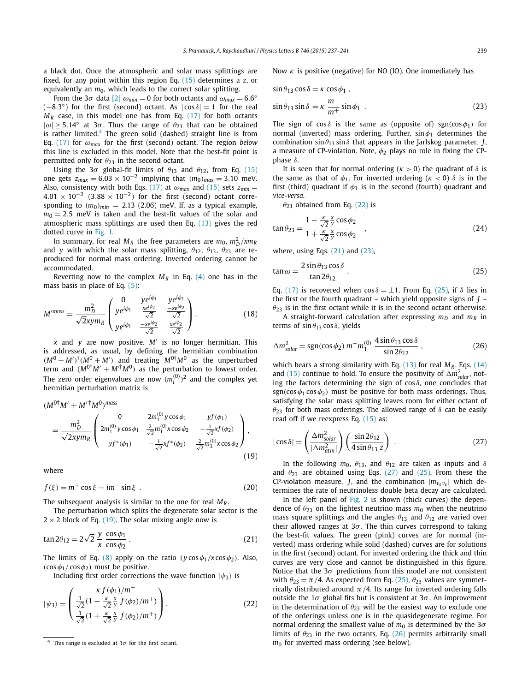<span id="page-2-0"></span>a black dot. Once the atmospheric and solar mass splittings are fixed, for any point within this region Eq. [\(15\)](#page-1-0) determines a *z*, or equivalently an  $m_0$ , which leads to the correct solar splitting.

From the 3 $\sigma$  data [\[2\]](#page-4-0)  $\omega_{min} = 0$  for both octants and  $\omega_{max} = 6.6^\circ$  $(-8.3°)$  for the first (second) octant. As  $|\cos \delta| = 1$  for the real  $M_R$  case, in this model one has from Eq.  $(17)$  for both octants  $|\omega| \geq 5.14°$  at 3 $\sigma$ . Thus the range of  $\theta_{23}$  that can be obtained is rather limited.<sup>4</sup> The green solid (dashed) straight line is from Eq. [\(17\)](#page-1-0) for *ωmax* for the first (second) octant. The region *below* this line is excluded in this model. Note that the best-fit point is permitted only for  $\theta_{23}$  in the second octant.

Using the  $3\sigma$  global-fit limits of  $\theta_{13}$  and  $\theta_{12}$ , from Eq. [\(15\)](#page-1-0) one gets  $z_{max} = 6.03 \times 10^{-2}$  implying that  $(m_0)_{max} = 3.10$  meV. Also, consistency with both Eqs. [\(17\)](#page-1-0) at  $\omega_{max}$  and [\(15\)](#page-1-0) sets  $z_{min}$  =  $4.01 \times 10^{-2}$  (3.88 × 10<sup>-2</sup>) for the first (second) octant corresponding to  $(m_0)_{min} = 2.13$  (2.06) meV. If, as a typical example,  $m_0 = 2.5$  meV is taken and the best-fit values of the solar and atmospheric mass splittings are used then Eq. [\(13\)](#page-1-0) gives the red dotted curve in [Fig. 1.](#page-1-0)

In summary, for real  $M_R$  the free parameters are  $m_0$ ,  $m_D^2/\text{\textit{x}}m_R$ and *y* with which the solar mass splitting,  $\theta_{12}$ ,  $\theta_{13}$ ,  $\theta_{23}$  are reproduced for normal mass ordering. Inverted ordering cannot be accommodated.

Reverting now to the complex  $M_R$  in Eq. [\(4\)](#page-1-0) one has in the mass basis in place of Eq. [\(5\):](#page-1-0)

$$
M'^{\text{mass}} = \frac{m_D^2}{\sqrt{2}xym_R} \begin{pmatrix} 0 & ye^{i\phi_1} & ye^{i\phi_1} \\ ye^{i\phi_1} & \frac{xe^{i\phi_2}}{\sqrt{2}} & \frac{-xe^{i\phi_2}}{\sqrt{2}} \\ ye^{i\phi_1} & \frac{-xe^{i\phi_2}}{\sqrt{2}} & \frac{xe^{i\phi_2}}{\sqrt{2}} \end{pmatrix} .
$$
 (18)

*x* and *y* are now positive. *M* is no longer hermitian. This is addressed, as usual, by defining the hermitian combination  $(M^0 + M')^{\dagger} (M^0 + M')$  and treating  $M^{0\dagger} M^0$  as the unperturbed term and  $(M^{0\dagger}M' + M'^{\dagger}M^0)$  as the perturbation to lowest order. The zero order eigenvalues are now  $(m_i^{(0)})^2$  and the complex yet hermitian perturbation matrix is

$$
(M^{0\dagger}M' + M'^{\dagger}M^{0})^{mass}
$$
\n
$$
= \frac{m_D^2}{\sqrt{2xym_R}} \begin{pmatrix} 0 & 2m_1^{(0)}y\cos\phi_1 & yf(\phi_1) \\ 2m_1^{(0)}y\cos\phi_1 & \frac{2}{\sqrt{2}}m_1^{(0)}x\cos\phi_2 & -\frac{1}{\sqrt{2}}xf(\phi_2) \\ yf^*(\phi_1) & -\frac{1}{\sqrt{2}}xf^*(\phi_2) & \frac{2}{\sqrt{2}}m_3^{(0)}x\cos\phi_2 \end{pmatrix},
$$
\n(19)

where

$$
f(\xi) = m^+ \cos \xi - i m^- \sin \xi \tag{20}
$$

The subsequent analysis is similar to the one for real *MR* .

The perturbation which splits the degenerate solar sector is the  $2 \times 2$  block of Eq. (19). The solar mixing angle now is

$$
\tan 2\theta_{12} = 2\sqrt{2} \frac{y}{x} \frac{\cos \phi_1}{\cos \phi_2}.
$$
 (21)

The limits of Eq. [\(8\)](#page-1-0) apply on the ratio  $(y \cos \phi_1/x \cos \phi_2)$ . Also,  $(\cos \phi_1 / \cos \phi_2)$  must be positive.

Including first order corrections the wave function  $|\psi_3\rangle$  is

$$
|\psi_3\rangle = \begin{pmatrix} \kappa f(\phi_1)/m^+ \\ \frac{1}{\sqrt{2}}(1 - \frac{\kappa}{\sqrt{2}} \frac{x}{y} f(\phi_2)/m^+) \\ \frac{1}{\sqrt{2}}(1 + \frac{\kappa}{\sqrt{2}} \frac{x}{y} f(\phi_2)/m^+) \end{pmatrix}.
$$
 (22)

Now *κ* is positive (negative) for NO (IO). One immediately has

$$
\sin \theta_{13} \cos \delta = \kappa \cos \phi_1 ,
$$
  
\n
$$
\sin \theta_{13} \sin \delta = \kappa \frac{m^-}{m^+} \sin \phi_1 .
$$
\n(23)

The sign of  $\cos \delta$  is the same as (opposite of) sgn( $\cos \phi_1$ ) for normal (inverted) mass ordering. Further,  $sin \phi_1$  determines the combination  $\sin \theta_{13} \sin \delta$  that appears in the Jarlskog parameter, *J*, a measure of CP-violation. Note,  $\phi_2$  plays no role in fixing the CPphase *δ*.

It is seen that for normal ordering ( $\kappa > 0$ ) the quadrant of  $\delta$  is the same as that of  $\phi_1$ . For inverted ordering ( $\kappa < 0$ )  $\delta$  is in the first (third) quadrant if  $\phi_1$  is in the second (fourth) quadrant and *vice-versa*.

*θ*<sup>23</sup> obtained from Eq. (22) is

$$
\tan \theta_{23} = \frac{1 - \frac{\kappa}{\sqrt{2}} \frac{x}{y} \cos \phi_2}{1 + \frac{\kappa}{\sqrt{2}} \frac{x}{y} \cos \phi_2},
$$
\n(24)

where, using Eqs.  $(21)$  and  $(23)$ ,

$$
\tan \omega = \frac{2 \sin \theta_{13} \cos \delta}{\tan 2\theta_{12}}.
$$
 (25)

Eq. [\(17\)](#page-1-0) is recovered when  $\cos \delta = \pm 1$ . From Eq. (25), if  $\delta$  lies in the first or the fourth quadrant – which yield opposite signs of *J* –  $\theta_{23}$  is in the first octant while it is in the second octant otherwise.

A straight-forward calculation after expressing  $m_D$  and  $m_R$  in terms of sin *θ*<sup>13</sup> cos *δ*, yields

$$
\Delta m_{solar}^2 = \text{sgn}(\cos \phi_2) \, m^- m_1^{(0)} \, \frac{4 \sin \theta_{13} \cos \delta}{\sin 2\theta_{12}} \,, \tag{26}
$$

which bears a strong similarity with Eq.  $(13)$  for real  $M_R$ . Eqs.  $(14)$ and [\(15\)](#page-1-0) continue to hold. To ensure the positivity of  $\Delta m_{\textit{solar}}^2$ , noting the factors determining the sign of  $\cos \delta$ , one concludes that sgn( $\cos \phi_1 \cos \phi_2$ ) must be positive for both mass orderings. Thus, satisfying the solar mass splitting leaves room for either octant of *θ*<sup>23</sup> for both mass orderings. The allowed range of *δ* can be easily read off if we reexpress Eq. [\(15\)](#page-1-0) as:

$$
|\cos\delta| = \left(\frac{\Delta m_{solar}^2}{|\Delta m_{atm}^2|}\right) \left(\frac{\sin 2\theta_{12}}{4\sin\theta_{13} z}\right) .
$$
 (27)

In the following  $m_0$ ,  $\theta_{13}$ , and  $\theta_{12}$  are taken as inputs and  $\delta$ and *θ*<sup>23</sup> are obtained using Eqs. (27) and (25). From these the CP-violation measure, *J*, and the combination  $|m_{\nu_e \nu_e}|$  which determines the rate of neutrinoless double beta decay are calculated.

In the left panel of [Fig. 2](#page-3-0) is shown (thick curves) the dependence of  $\theta_{23}$  on the lightest neutrino mass  $m_0$  when the neutrino mass square splittings and the angles  $\theta_{13}$  and  $\theta_{12}$  are varied over their allowed ranges at  $3\sigma$ . The thin curves correspond to taking the best-fit values. The green (pink) curves are for normal (inverted) mass ordering while solid (dashed) curves are for solutions in the first (second) octant. For inverted ordering the thick and thin curves are very close and cannot be distinguished in this figure. Notice that the 3*σ* predictions from this model are not consistent with  $\theta_{23} = \pi/4$ . As expected from Eq. (25),  $\theta_{23}$  values are symmetrically distributed around  $\pi/4$ . Its range for inverted ordering falls outside the 1*σ* global fits but is consistent at 3*σ* . An improvement in the determination of *θ*<sup>23</sup> will be the easiest way to exclude one of the orderings unless one is in the quasidegenerate regime. For normal ordering the smallest value of *m*<sup>0</sup> is determined by the 3*σ* limits of  $\theta_{23}$  in the two octants. Eq. (26) permits arbitrarily small  $m<sub>0</sub>$  for inverted mass ordering (see below).

<sup>4</sup> This range is excluded at 1*σ* for the first octant.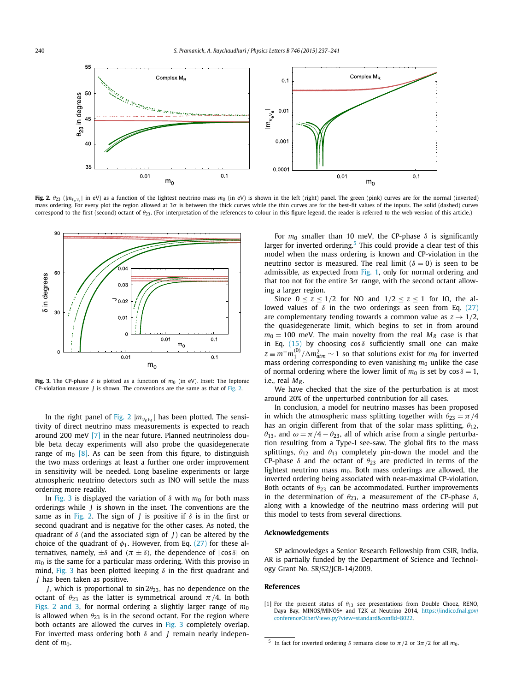<span id="page-3-0"></span>

Fig. 2.  $\theta_{23}$  ( $|m_{v_e v_e}|$  in eV) as a function of the lightest neutrino mass  $m_0$  (in eV) is shown in the left (right) panel. The green (pink) curves are for the normal (inverted) mass ordering. For every plot the region allowed at 3*σ* is between the thick curves while the thin curves are for the best-fit values of the inputs. The solid (dashed) curves correspond to the first (second) octant of *θ*23. (For interpretation of the references to colour in this figure legend, the reader is referred to the web version of this article.)



**Fig. 3.** The CP-phase  $\delta$  is plotted as a function of  $m_0$  (in eV). Inset: The leptonic CP-violation measure *J* is shown. The conventions are the same as that of Fig. 2.

In the right panel of Fig. 2  $|m_{\nu_e\nu_e}|$  has been plotted. The sensitivity of direct neutrino mass measurements is expected to reach around 200 meV [\[7\]](#page-4-0) in the near future. Planned neutrinoless double beta decay experiments will also probe the quasidegenerate range of  $m_0$  [\[8\].](#page-4-0) As can be seen from this figure, to distinguish the two mass orderings at least a further one order improvement in sensitivity will be needed. Long baseline experiments or large atmospheric neutrino detectors such as INO will settle the mass ordering more readily.

In Fig. 3 is displayed the variation of  $\delta$  with  $m_0$  for both mass orderings while *J* is shown in the inset. The conventions are the same as in Fig. 2. The sign of *J* is positive if *δ* is in the first or second quadrant and is negative for the other cases. As noted, the quadrant of *δ* (and the associated sign of *J*) can be altered by the choice of the quadrant of  $\phi_1$ . However, from Eq. [\(27\)](#page-2-0) for these alternatives, namely,  $\pm \delta$  and  $(π ± δ)$ , the dependence of  $|cos δ|$  on  $m<sub>0</sub>$  is the same for a particular mass ordering. With this proviso in mind, Fig. 3 has been plotted keeping *δ* in the first quadrant and *J* has been taken as positive.

*J*, which is proportional to sin 2*θ*23, has no dependence on the octant of  $\theta_{23}$  as the latter is symmetrical around  $\pi/4$ . In both Figs. 2 and 3, for normal ordering a slightly larger range of  $m_0$ is allowed when  $\theta_{23}$  is in the second octant. For the region where both octants are allowed the curves in Fig. 3 completely overlap. For inverted mass ordering both *δ* and *J* remain nearly independent of  $m_0$ .

For  $m_0$  smaller than 10 meV, the CP-phase  $\delta$  is significantly larger for inverted ordering.<sup>5</sup> This could provide a clear test of this model when the mass ordering is known and CP-violation in the neutrino sector is measured. The real limit ( $\delta = 0$ ) is seen to be admissible, as expected from [Fig. 1,](#page-1-0) only for normal ordering and that too not for the entire 3*σ* range, with the second octant allowing a larger region.

Since  $0 \le z \le 1/2$  for NO and  $1/2 \le z \le 1$  for IO, the allowed values of  $\delta$  in the two orderings as seen from Eq. [\(27\)](#page-2-0) are complementary tending towards a common value as  $z \rightarrow 1/2$ , the quasidegenerate limit, which begins to set in from around  $m_0 = 100$  meV. The main novelty from the real  $M_R$  case is that in Eq. [\(15\)](#page-1-0) by choosing cos *δ* sufficiently small one can make  $z \equiv m^{-}m_1^{(0)}/\Delta m_{atm}^2 \sim 1$  so that solutions exist for  $m_0$  for inverted mass ordering corresponding to even vanishing  $m_0$  unlike the case of normal ordering where the lower limit of  $m_0$  is set by  $\cos \delta = 1$ , i.e., real  $M_R$ .

We have checked that the size of the perturbation is at most around 20% of the unperturbed contribution for all cases.

In conclusion, a model for neutrino masses has been proposed in which the atmospheric mass splitting together with  $\theta_{23} = \pi/4$ has an origin different from that of the solar mass splitting, *θ*12, *θ*<sub>13</sub>, and  $ω = π/4 - θ<sub>23</sub>$ , all of which arise from a single perturbation resulting from a Type-I see-saw. The global fits to the mass splittings,  $\theta_{12}$  and  $\theta_{13}$  completely pin-down the model and the CP-phase  $\delta$  and the octant of  $\theta_{23}$  are predicted in terms of the lightest neutrino mass  $m_0$ . Both mass orderings are allowed, the inverted ordering being associated with near-maximal CP-violation. Both octants of  $\theta_{23}$  can be accommodated. Further improvements in the determination of  $\theta_{23}$ , a measurement of the CP-phase  $\delta$ , along with a knowledge of the neutrino mass ordering will put this model to tests from several directions.

#### **Acknowledgements**

SP acknowledges a Senior Research Fellowship from CSIR, India. AR is partially funded by the Department of Science and Technology Grant No. SR/S2/JCB-14/2009.

#### **References**

[1] For the present status of *θ*<sup>13</sup> see presentations from Double Chooz, RENO, Daya Bay, MINOS/MINOS+ and T2K at Neutrino 2014, [https://indico.fnal.gov/](https://indico.fnal.gov/conferenceOtherViews.py?view=standard&confId=8022) [conferenceOtherViews.py?view=standard&confId=8022.](https://indico.fnal.gov/conferenceOtherViews.py?view=standard&confId=8022)

<sup>&</sup>lt;sup>5</sup> In fact for inverted ordering  $\delta$  remains close to  $\pi/2$  or  $3\pi/2$  for all  $m_0$ .